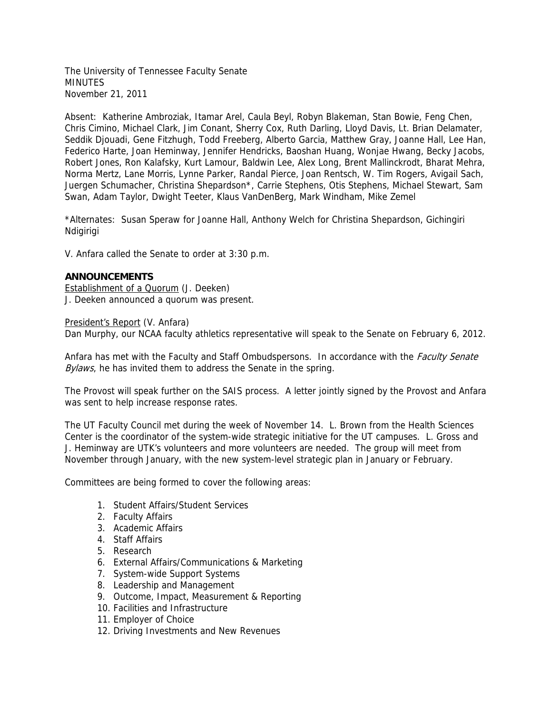The University of Tennessee Faculty Senate MINUTES November 21, 2011

Absent: Katherine Ambroziak, Itamar Arel, Caula Beyl, Robyn Blakeman, Stan Bowie, Feng Chen, Chris Cimino, Michael Clark, Jim Conant, Sherry Cox, Ruth Darling, Lloyd Davis, Lt. Brian Delamater, Seddik Djouadi, Gene Fitzhugh, Todd Freeberg, Alberto Garcia, Matthew Gray, Joanne Hall, Lee Han, Federico Harte, Joan Heminway, Jennifer Hendricks, Baoshan Huang, Wonjae Hwang, Becky Jacobs, Robert Jones, Ron Kalafsky, Kurt Lamour, Baldwin Lee, Alex Long, Brent Mallinckrodt, Bharat Mehra, Norma Mertz, Lane Morris, Lynne Parker, Randal Pierce, Joan Rentsch, W. Tim Rogers, Avigail Sach, Juergen Schumacher, Christina Shepardson\*, Carrie Stephens, Otis Stephens, Michael Stewart, Sam Swan, Adam Taylor, Dwight Teeter, Klaus VanDenBerg, Mark Windham, Mike Zemel

\*Alternates: Susan Speraw for Joanne Hall, Anthony Welch for Christina Shepardson, Gichingiri **Ndigirigi** 

V. Anfara called the Senate to order at 3:30 p.m.

#### **ANNOUNCEMENTS**

Establishment of a Quorum (J. Deeken) J. Deeken announced a quorum was present.

President's Report (V. Anfara)

Dan Murphy, our NCAA faculty athletics representative will speak to the Senate on February 6, 2012.

Anfara has met with the Faculty and Staff Ombudspersons. In accordance with the *Faculty Senate* Bylaws, he has invited them to address the Senate in the spring.

The Provost will speak further on the SAIS process. A letter jointly signed by the Provost and Anfara was sent to help increase response rates.

The UT Faculty Council met during the week of November 14. L. Brown from the Health Sciences Center is the coordinator of the system-wide strategic initiative for the UT campuses. L. Gross and J. Heminway are UTK's volunteers and more volunteers are needed. The group will meet from November through January, with the new system-level strategic plan in January or February.

Committees are being formed to cover the following areas:

- 1. Student Affairs/Student Services
- 2. Faculty Affairs
- 3. Academic Affairs
- 4. Staff Affairs
- 5. Research
- 6. External Affairs/Communications & Marketing
- 7. System-wide Support Systems
- 8. Leadership and Management
- 9. Outcome, Impact, Measurement & Reporting
- 10. Facilities and Infrastructure
- 11. Employer of Choice
- 12. Driving Investments and New Revenues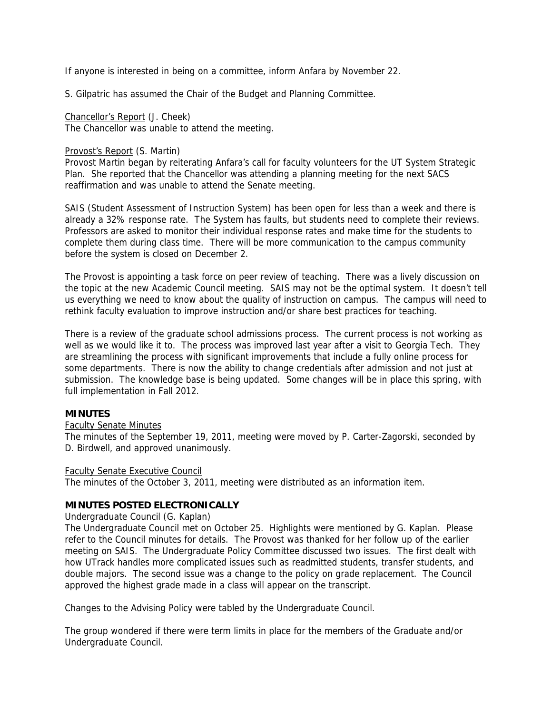If anyone is interested in being on a committee, inform Anfara by November 22.

S. Gilpatric has assumed the Chair of the Budget and Planning Committee.

Chancellor's Report (J. Cheek) The Chancellor was unable to attend the meeting.

## Provost's Report (S. Martin)

Provost Martin began by reiterating Anfara's call for faculty volunteers for the UT System Strategic Plan. She reported that the Chancellor was attending a planning meeting for the next SACS reaffirmation and was unable to attend the Senate meeting.

SAIS (Student Assessment of Instruction System) has been open for less than a week and there is already a 32% response rate. The System has faults, but students need to complete their reviews. Professors are asked to monitor their individual response rates and make time for the students to complete them during class time. There will be more communication to the campus community before the system is closed on December 2.

The Provost is appointing a task force on peer review of teaching. There was a lively discussion on the topic at the new Academic Council meeting. SAIS may not be the optimal system. It doesn't tell us everything we need to know about the quality of instruction on campus. The campus will need to rethink faculty evaluation to improve instruction and/or share best practices for teaching.

There is a review of the graduate school admissions process. The current process is not working as well as we would like it to. The process was improved last year after a visit to Georgia Tech. They are streamlining the process with significant improvements that include a fully online process for some departments. There is now the ability to change credentials after admission and not just at submission. The knowledge base is being updated. Some changes will be in place this spring, with full implementation in Fall 2012.

# **MINUTES**

# Faculty Senate Minutes

The minutes of the September 19, 2011, meeting were moved by P. Carter-Zagorski, seconded by D. Birdwell, and approved unanimously.

# Faculty Senate Executive Council

The minutes of the October 3, 2011, meeting were distributed as an information item.

# **MINUTES POSTED ELECTRONICALLY**

Undergraduate Council (G. Kaplan)

The Undergraduate Council met on October 25. Highlights were mentioned by G. Kaplan. Please refer to the Council minutes for details. The Provost was thanked for her follow up of the earlier meeting on SAIS. The Undergraduate Policy Committee discussed two issues. The first dealt with how UTrack handles more complicated issues such as readmitted students, transfer students, and double majors. The second issue was a change to the policy on grade replacement. The Council approved the highest grade made in a class will appear on the transcript.

Changes to the Advising Policy were tabled by the Undergraduate Council.

The group wondered if there were term limits in place for the members of the Graduate and/or Undergraduate Council.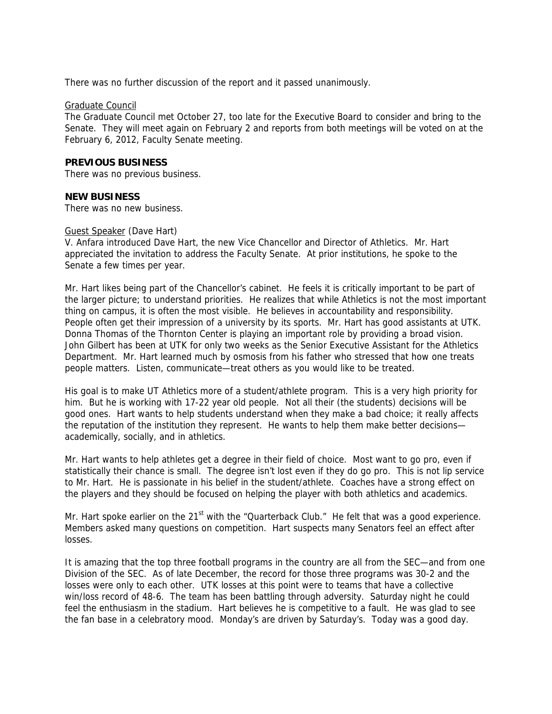There was no further discussion of the report and it passed unanimously.

#### Graduate Council

The Graduate Council met October 27, too late for the Executive Board to consider and bring to the Senate. They will meet again on February 2 and reports from both meetings will be voted on at the February 6, 2012, Faculty Senate meeting.

## **PREVIOUS BUSINESS**

There was no previous business.

#### **NEW BUSINESS**

There was no new business.

#### Guest Speaker (Dave Hart)

V. Anfara introduced Dave Hart, the new Vice Chancellor and Director of Athletics. Mr. Hart appreciated the invitation to address the Faculty Senate. At prior institutions, he spoke to the Senate a few times per year.

Mr. Hart likes being part of the Chancellor's cabinet. He feels it is critically important to be part of the larger picture; to understand priorities. He realizes that while Athletics is not the most important thing on campus, it is often the most visible. He believes in accountability and responsibility. People often get their impression of a university by its sports. Mr. Hart has good assistants at UTK. Donna Thomas of the Thornton Center is playing an important role by providing a broad vision. John Gilbert has been at UTK for only two weeks as the Senior Executive Assistant for the Athletics Department. Mr. Hart learned much by osmosis from his father who stressed that how one treats people matters. Listen, communicate—treat others as you would like to be treated.

His goal is to make UT Athletics more of a student/athlete program. This is a very high priority for him. But he is working with 17-22 year old people. Not all their (the students) decisions will be good ones. Hart wants to help students understand when they make a bad choice; it really affects the reputation of the institution they represent. He wants to help them make better decisions academically, socially, and in athletics.

Mr. Hart wants to help athletes get a degree in their field of choice. Most want to go pro, even if statistically their chance is small. The degree isn't lost even if they do go pro. This is not lip service to Mr. Hart. He is passionate in his belief in the student/athlete. Coaches have a strong effect on the players and they should be focused on helping the player with both athletics and academics.

Mr. Hart spoke earlier on the  $21<sup>st</sup>$  with the "Quarterback Club." He felt that was a good experience. Members asked many questions on competition. Hart suspects many Senators feel an effect after losses.

It is amazing that the top three football programs in the country are all from the SEC—and from one Division of the SEC. As of late December, the record for those three programs was 30-2 and the losses were only to each other. UTK losses at this point were to teams that have a collective win/loss record of 48-6. The team has been battling through adversity. Saturday night he could feel the enthusiasm in the stadium. Hart believes he is competitive to a fault. He was glad to see the fan base in a celebratory mood. Monday's are driven by Saturday's. Today was a good day.